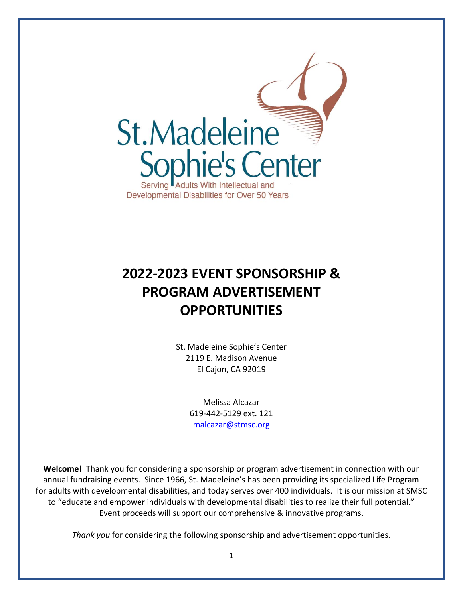

# **2022-2023 EVENT SPONSORSHIP & PROGRAM ADVERTISEMENT OPPORTUNITIES**

St. Madeleine Sophie's Center 2119 E. Madison Avenue El Cajon, CA 92019

> Melissa Alcazar 619-442-5129 ext. 121 [malcazar@stmsc.org](mailto:malcazar@stmsc.org)

**Welcome!** Thank you for considering a sponsorship or program advertisement in connection with our annual fundraising events. Since 1966, St. Madeleine's has been providing its specialized Life Program for adults with developmental disabilities, and today serves over 400 individuals. It is our mission at SMSC to "educate and empower individuals with developmental disabilities to realize their full potential." Event proceeds will support our comprehensive & innovative programs.

*Thank you* for considering the following sponsorship and advertisement opportunities.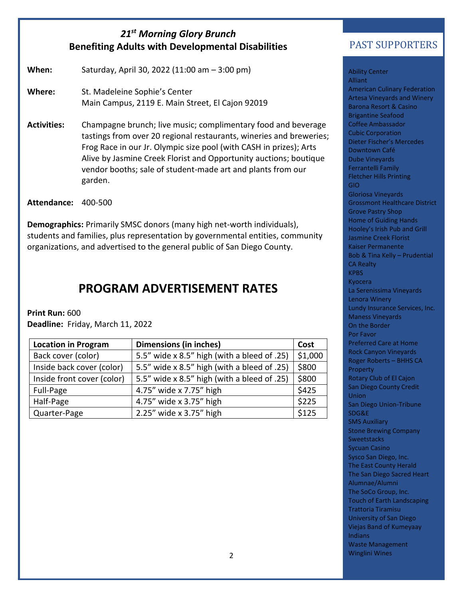#### *21st Morning Glory Brunch* **Benefiting Adults with Developmental Disabilities**

**When:** Saturday, April 30, 2022 (11:00 am – 3:00 pm)

**Where:** St. Madeleine Sophie's Center Main Campus, 2119 E. Main Street, El Cajon 92019

**Activities:** Champagne brunch; live music; complimentary food and beverage tastings from over 20 regional restaurants, wineries and breweries; Frog Race in our Jr. Olympic size pool (with CASH in prizes); Arts Alive by Jasmine Creek Florist and Opportunity auctions; boutique vendor booths; sale of student-made art and plants from our garden.

**Attendance:** 400-500

**Demographics:** Primarily SMSC donors (many high net-worth individuals), students and families, plus representation by governmental entities, community organizations, and advertised to the general public of San Diego County.

#### **PROGRAM ADVERTISEMENT RATES**

**Print Run:** 600

**Deadline:** Friday, March 11, 2022

| <b>Location in Program</b> | <b>Dimensions (in inches)</b>               | Cost    |
|----------------------------|---------------------------------------------|---------|
| Back cover (color)         | 5.5" wide x 8.5" high (with a bleed of .25) | \$1,000 |
| Inside back cover (color)  | 5.5" wide x 8.5" high (with a bleed of .25) | \$800   |
| Inside front cover (color) | 5.5" wide x 8.5" high (with a bleed of .25) | \$800   |
| Full-Page                  | 4.75" wide x 7.75" high                     | \$425   |
| Half-Page                  | 4.75" wide x 3.75" high                     | \$225   |
| Quarter-Page               | 2.25" wide x 3.75" high                     | \$125   |

#### PAST SUPPORTERS

Ability Center **Alliant** American Culinary Federation Artesa Vineyards and Winery Barona Resort & Casino Brigantine Seafood Coffee Ambassador Cubic Corporation Dieter Fischer's Mercedes Downtown Café Dube Vineyards Ferrantelli Family Fletcher Hills Printing GIO Gloriosa Vineyards Grossmont Healthcare District Grove Pastry Shop Home of Guiding Hands Hooley's Irish Pub and Grill Jasmine Creek Florist Kaiser Permanente Bob & Tina Kelly – Prudential CA Realty **KPBS** Kyocera La Serenissima Vineyards Lenora Winery Lundy Insurance Services, Inc. Maness Vineyards On the Border Por Favor Preferred Care at Home Rock Canyon Vineyards Roger Roberts – BHHS CA Property Rotary Club of El Cajon San Diego County Credit **Union** San Diego Union-Tribune SDG&E SMS Auxiliary Stone Brewing Company **Sweetstacks** Sycuan Casino Sysco San Diego, Inc. The East County Herald The San Diego Sacred Heart Alumnae/Alumni The SoCo Group, Inc. Touch of Earth Landscaping Trattoria Tiramisu University of San Diego Viejas Band of Kumeyaay Indians Waste Management Winglini Wines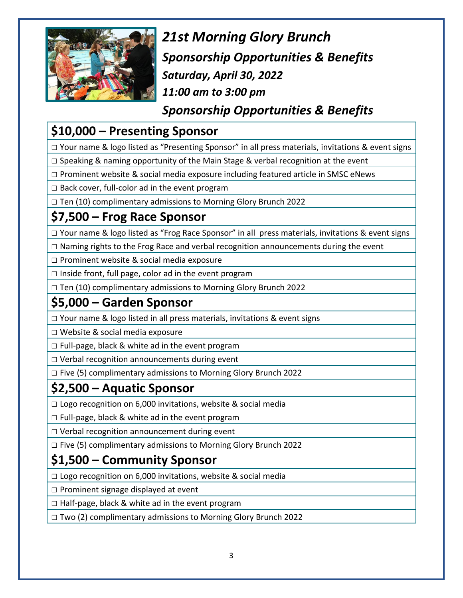

*21st Morning Glory Brunch Sponsorship Opportunities & Benefits Saturday, April 30, 2022 11:00 am to 3:00 pm*

*Sponsorship Opportunities & Benefits*

## **\$10,000 – Presenting Sponsor**

□ Your name & logo listed as "Presenting Sponsor" in all press materials, invitations & event signs

 $\Box$  Speaking & naming opportunity of the Main Stage & verbal recognition at the event

 $\square$  Prominent website & social media exposure including featured article in SMSC eNews

 $\square$  Back cover, full-color ad in the event program

 $\Box$  Ten (10) complimentary admissions to Morning Glory Brunch 2022

#### **\$7,500 – Frog Race Sponsor**

□ Your name & logo listed as "Frog Race Sponsor" in all press materials, invitations & event signs

 $\square$  Naming rights to the Frog Race and verbal recognition announcements during the event

 $\square$  Prominent website & social media exposure

□ Inside front, full page, color ad in the event program

□ Ten (10) complimentary admissions to Morning Glory Brunch 2022

#### **\$5,000 – Garden Sponsor**

□ Your name & logo listed in all press materials, invitations & event signs

□ Website & social media exposure

 $\Box$  Full-page, black & white ad in the event program

 $\Box$  Verbal recognition announcements during event

□ Five (5) complimentary admissions to Morning Glory Brunch 2022

## **\$2,500 – Aquatic Sponsor**

□ Logo recognition on 6,000 invitations, website & social media

 $\Box$  Full-page, black & white ad in the event program

□ Verbal recognition announcement during event

 $\Box$  Five (5) complimentary admissions to Morning Glory Brunch 2022

## **\$1,500 – Community Sponsor**

 $\Box$  Logo recognition on 6,000 invitations, website & social media

 $\square$  Prominent signage displayed at event

 $\square$  Half-page, black & white ad in the event program

□ Two (2) complimentary admissions to Morning Glory Brunch 2022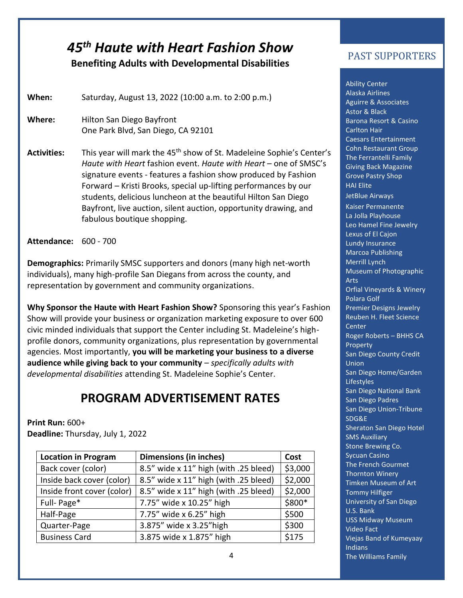# *45 th Haute with Heart Fashion Show*

#### **Benefiting Adults with Developmental Disabilities**

**When:** Saturday, August 13, 2022 (10:00 a.m. to 2:00 p.m.)

**Where:** Hilton San Diego Bayfront One Park Blvd, San Diego, CA 92101

Activities: This year will mark the 45<sup>th</sup> show of St. Madeleine Sophie's Center's *Haute with Heart* fashion event. *Haute with Heart* – one of SMSC's signature events - features a fashion show produced by Fashion Forward – Kristi Brooks, special up-lifting performances by our students, delicious luncheon at the beautiful Hilton San Diego Bayfront, live auction, silent auction, opportunity drawing, and fabulous boutique shopping.

**Attendance:** 600 - 700

**Demographics:** Primarily SMSC supporters and donors (many high net-worth individuals), many high-profile San Diegans from across the county, and representation by government and community organizations.

**Why Sponsor the Haute with Heart Fashion Show?** Sponsoring this year's Fashion Show will provide your business or organization marketing exposure to over 600 civic minded individuals that support the Center including St. Madeleine's highprofile donors, community organizations, plus representation by governmental agencies. Most importantly, **you will be marketing your business to a diverse audience while giving back to your community** – *specifically adults with developmental disabilities* attending St. Madeleine Sophie's Center.

#### **PROGRAM ADVERTISEMENT RATES**

#### **Print Run:** 600+

**Deadline:** Thursday, July 1, 2022

| <b>Location in Program</b> | <b>Dimensions (in inches)</b>         |         |
|----------------------------|---------------------------------------|---------|
| Back cover (color)         | 8.5" wide x 11" high (with .25 bleed) | \$3,000 |
| Inside back cover (color)  | 8.5" wide x 11" high (with .25 bleed) | \$2,000 |
| Inside front cover (color) | 8.5" wide x 11" high (with .25 bleed) | \$2,000 |
| Full-Page*                 | 7.75" wide x 10.25" high              | \$800*  |
| Half-Page                  | 7.75" wide x 6.25" high               | \$500   |
| Quarter-Page               | 3.875" wide x 3.25" high              | \$300   |
| <b>Business Card</b>       | 3.875 wide x 1.875" high              | \$175   |

#### PAST SUPPORTERS INCLUDE

Ability Center Alaska Airlines Aguirre & Associates Astor & Black Barona Resort & Casino Carlton Hair Caesars Entertainment Cohn Restaurant Group The Ferrantelli Family Giving Back Magazine Grove Pastry Shop HAI Elite JetBlue Airways Kaiser Permanente La Jolla Playhouse Leo Hamel Fine Jewelry Lexus of El Cajon Lundy Insurance Marcoa Publishing Merrill Lynch Museum of Photographic Arts Orfial Vineyards & Winery Polara Golf Premier Designs Jewelry Reuben H. Fleet Science **Center** Roger Roberts – BHHS CA Property San Diego County Credit Union San Diego Home/Garden **Lifestyles** San Diego National Bank San Diego Padres San Diego Union-Tribune SDG&E Sheraton San Diego Hotel SMS Auxiliary Stone Brewing Co. Sycuan Casino The French Gourmet Thornton Winery Timken Museum of Art Tommy Hilfiger University of San Diego U.S. Bank USS Midway Museum Video Fact Viejas Band of Kumeyaay Indians The Williams Family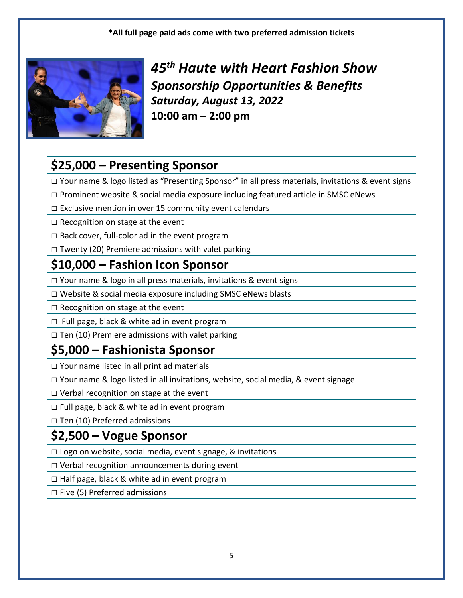**\*All full page paid ads come with two preferred admission tickets**



*45 th Haute with Heart Fashion Show Sponsorship Opportunities & Benefits Saturday, August 13, 2022* **10:00 am – 2:00 pm**

## **\$25,000 – Presenting Sponsor**

□ Your name & logo listed as "Presenting Sponsor" in all press materials, invitations & event signs

 $\square$  Prominent website & social media exposure including featured article in SMSC eNews

 $\Box$  Exclusive mention in over 15 community event calendars

 $\Box$  Recognition on stage at the event

□ Back cover, full-color ad in the event program

 $\square$  Twenty (20) Premiere admissions with valet parking

## **\$10,000 – Fashion Icon Sponsor**

 $\Box$  Your name & logo in all press materials, invitations & event signs

□ Website & social media exposure including SMSC eNews blasts

 $\square$  Recognition on stage at the event

□ Full page, black & white ad in event program

 $\Box$  Ten (10) Premiere admissions with valet parking

## **\$5,000 – Fashionista Sponsor**

 $\Box$  Your name listed in all print ad materials

□ Your name & logo listed in all invitations, website, social media, & event signage

 $\Box$  Verbal recognition on stage at the event

□ Full page, black & white ad in event program

 $\Box$  Ten (10) Preferred admissions

#### **\$2,500 – Vogue Sponsor**

 $\Box$  Logo on website, social media, event signage, & invitations

 $\Box$  Verbal recognition announcements during event

 $\Box$  Half page, black & white ad in event program

 $\square$  Five (5) Preferred admissions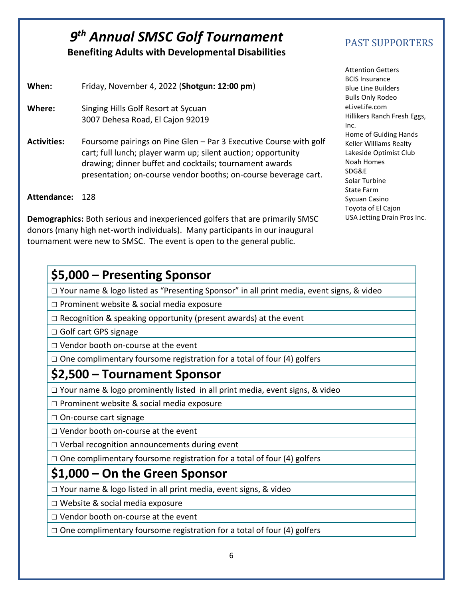#### **9<sup>th</sup> Annual SMSC Golf Tournament** PAST SUPPORTERS **Benefiting Adults with Developmental Disabilities**

**When:** Friday, November 4, 2022 (**Shotgun: 12:00 pm**)

- **Where:** Singing Hills Golf Resort at Sycuan 3007 Dehesa Road, El Cajon 92019
- **Activities:** Foursome pairings on Pine Glen Par 3 Executive Course with golf cart; full lunch; player warm up; silent auction; opportunity drawing; dinner buffet and cocktails; tournament awards presentation; on-course vendor booths; on-course beverage cart.

**Attendance:** 128

**Demographics:** Both serious and inexperienced golfers that are primarily SMSC donors (many high net-worth individuals). Many participants in our inaugural tournament were new to SMSC. The event is open to the general public.

#### **\$5,000 – Presenting Sponsor**

□ Your name & logo listed as "Presenting Sponsor" in all print media, event signs, & video

 $\Box$  Prominent website & social media exposure

 $\Box$  Recognition & speaking opportunity (present awards) at the event

□ Golf cart GPS signage

□ Vendor booth on-course at the event

 $\Box$  One complimentary foursome registration for a total of four (4) golfers

#### **\$2,500 – Tournament Sponsor**

 $\Box$  Your name & logo prominently listed in all print media, event signs, & video

□ Prominent website & social media exposure

□ On-course cart signage

□ Vendor booth on-course at the event

 $\Box$  Verbal recognition announcements during event

 $\Box$  One complimentary foursome registration for a total of four (4) golfers

#### **\$1,000 – On the Green Sponsor**

□ Your name & logo listed in all print media, event signs, & video

□ Website & social media exposure

□ Vendor booth on-course at the event

 $\Box$  One complimentary foursome registration for a total of four (4) golfers

Attention Getters BCIS Insurance Blue Line Builders Bulls Only Rodeo eLiveLife.com Hillikers Ranch Fresh Eggs, Inc. Home of Guiding Hands Keller Williams Realty Lakeside Optimist Club Noah Homes SDG&E Solar Turbine State Farm Sycuan Casino Toyota of El Cajon USA Jetting Drain Pros Inc.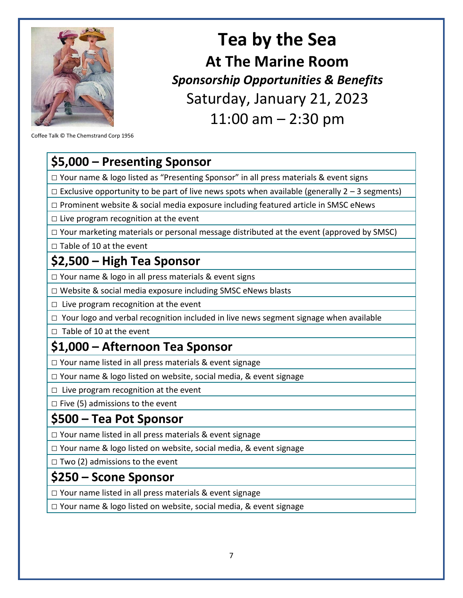

# **Tea by the Sea At The Marine Room** *Sponsorship Opportunities & Benefits* Saturday, January 21, 2023 11:00 am – 2:30 pm

Coffee Talk © The Chemstrand Corp 1956

#### **\$5,000 – Presenting Sponsor**

 $\Box$  Your name & logo listed as "Presenting Sponsor" in all press materials & event signs

 $\Box$  Exclusive opportunity to be part of live news spots when available (generally 2 – 3 segments)

 $\square$  Prominent website & social media exposure including featured article in SMSC eNews

 $\Box$  Live program recognition at the event

□ Your marketing materials or personal message distributed at the event (approved by SMSC)

□ Table of 10 at the event

#### **\$2,500 – High Tea Sponsor**

 $\Box$  Your name & logo in all press materials & event signs

□ Website & social media exposure including SMSC eNews blasts

 $\Box$  Live program recognition at the event

 $\Box$  Your logo and verbal recognition included in live news segment signage when available

□ Table of 10 at the event

#### **\$1,000 – Afternoon Tea Sponsor**

□ Your name listed in all press materials & event signage

 $\square$  Your name & logo listed on website, social media, & event signage

 $\Box$  Live program recognition at the event

 $\square$  Five (5) admissions to the event

#### **\$500 – Tea Pot Sponsor**

 $\Box$  Your name listed in all press materials & event signage

 $\Box$  Your name & logo listed on website, social media, & event signage

 $\Box$  Two (2) admissions to the event

#### **\$250 – Scone Sponsor**

 $\Box$  Your name listed in all press materials & event signage

□ Your name & logo listed on website, social media, & event signage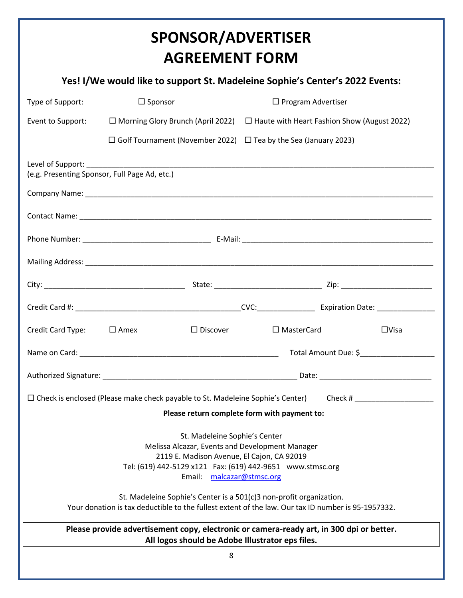# **SPONSOR/ADVERTISER AGREEMENT FORM**

#### **Yes! I/We would like to support St. Madeleine Sophie's Center's 2022 Events:**

| Type of Support:                                                                                                                                                                                                                   | $\Box$ Sponsor                                                                                     | $\Box$ Program Advertiser                          |                                                                     |                                                                                                                |  |  |
|------------------------------------------------------------------------------------------------------------------------------------------------------------------------------------------------------------------------------------|----------------------------------------------------------------------------------------------------|----------------------------------------------------|---------------------------------------------------------------------|----------------------------------------------------------------------------------------------------------------|--|--|
| Event to Support:                                                                                                                                                                                                                  | $\Box$ Morning Glory Brunch (April 2022)                                                           | $\Box$ Haute with Heart Fashion Show (August 2022) |                                                                     |                                                                                                                |  |  |
|                                                                                                                                                                                                                                    | $\Box$ Golf Tournament (November 2022) $\Box$ Tea by the Sea (January 2023)                        |                                                    |                                                                     |                                                                                                                |  |  |
|                                                                                                                                                                                                                                    | (e.g. Presenting Sponsor, Full Page Ad, etc.)                                                      |                                                    |                                                                     |                                                                                                                |  |  |
|                                                                                                                                                                                                                                    |                                                                                                    |                                                    |                                                                     |                                                                                                                |  |  |
|                                                                                                                                                                                                                                    |                                                                                                    |                                                    |                                                                     |                                                                                                                |  |  |
|                                                                                                                                                                                                                                    |                                                                                                    |                                                    |                                                                     |                                                                                                                |  |  |
|                                                                                                                                                                                                                                    |                                                                                                    |                                                    |                                                                     |                                                                                                                |  |  |
|                                                                                                                                                                                                                                    |                                                                                                    |                                                    |                                                                     |                                                                                                                |  |  |
|                                                                                                                                                                                                                                    |                                                                                                    |                                                    |                                                                     |                                                                                                                |  |  |
| Credit Card Type: $\Box$ Amex                                                                                                                                                                                                      |                                                                                                    | $\Box$ Discover                                    | $\Box$ MasterCard                                                   | $\Box$ Visa                                                                                                    |  |  |
|                                                                                                                                                                                                                                    |                                                                                                    |                                                    |                                                                     |                                                                                                                |  |  |
|                                                                                                                                                                                                                                    |                                                                                                    |                                                    |                                                                     |                                                                                                                |  |  |
|                                                                                                                                                                                                                                    |                                                                                                    |                                                    |                                                                     | □ Check is enclosed (Please make check payable to St. Madeleine Sophie's Center) Check # _____________________ |  |  |
| Please return complete form with payment to:                                                                                                                                                                                       |                                                                                                    |                                                    |                                                                     |                                                                                                                |  |  |
| St. Madeleine Sophie's Center<br>Melissa Alcazar, Events and Development Manager<br>2119 E. Madison Avenue, El Cajon, CA 92019<br>Tel: (619) 442-5129 x121    Fax: (619) 442-9651    www.stmsc.org<br>Email:<br>malcazar@stmsc.org |                                                                                                    |                                                    |                                                                     |                                                                                                                |  |  |
|                                                                                                                                                                                                                                    | Your donation is tax deductible to the fullest extent of the law. Our tax ID number is 95-1957332. |                                                    | St. Madeleine Sophie's Center is a 501(c)3 non-profit organization. |                                                                                                                |  |  |
| Please provide advertisement copy, electronic or camera-ready art, in 300 dpi or better.<br>All logos should be Adobe Illustrator eps files.                                                                                       |                                                                                                    |                                                    |                                                                     |                                                                                                                |  |  |
| 8                                                                                                                                                                                                                                  |                                                                                                    |                                                    |                                                                     |                                                                                                                |  |  |
|                                                                                                                                                                                                                                    |                                                                                                    |                                                    |                                                                     |                                                                                                                |  |  |